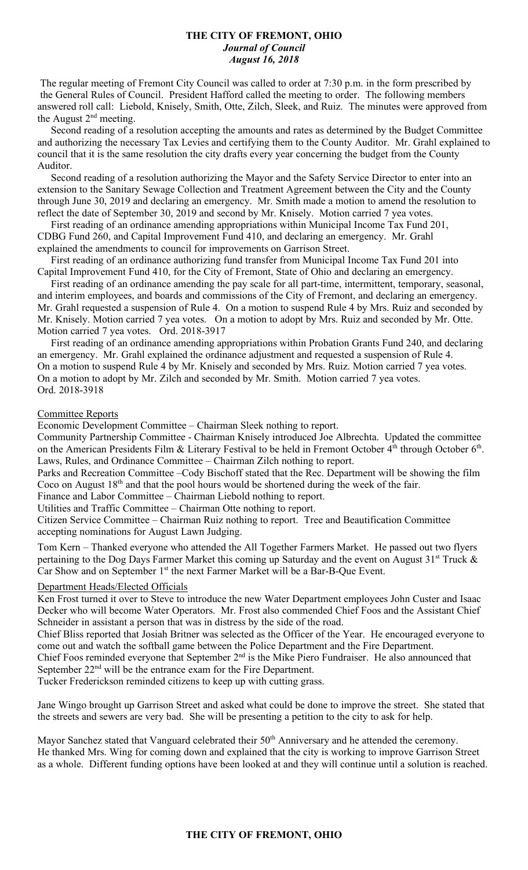## **THE CITY OF FREMONT, OHIO** *Journal of Council August 16, 2018*

The regular meeting of Fremont City Council was called to order at 7:30 p.m. in the form prescribed by the General Rules of Council. President Hafford called the meeting to order. The following members answered roll call: Liebold, Knisely, Smith, Otte, Zilch, Sleek, and Ruiz. The minutes were approved from the August  $2<sup>nd</sup>$  meeting.

 Second reading of a resolution accepting the amounts and rates as determined by the Budget Committee and authorizing the necessary Tax Levies and certifying them to the County Auditor. Mr. Grahl explained to council that it is the same resolution the city drafts every year concerning the budget from the County Auditor.

 Second reading of a resolution authorizing the Mayor and the Safety Service Director to enter into an extension to the Sanitary Sewage Collection and Treatment Agreement between the City and the County through June 30, 2019 and declaring an emergency. Mr. Smith made a motion to amend the resolution to reflect the date of September 30, 2019 and second by Mr. Knisely. Motion carried 7 yea votes.

 First reading of an ordinance amending appropriations within Municipal Income Tax Fund 201, CDBG Fund 260, and Capital Improvement Fund 410, and declaring an emergency. Mr. Grahl explained the amendments to council for improvements on Garrison Street.

 First reading of an ordinance authorizing fund transfer from Municipal Income Tax Fund 201 into Capital Improvement Fund 410, for the City of Fremont, State of Ohio and declaring an emergency.

 First reading of an ordinance amending the pay scale for all part-time, intermittent, temporary, seasonal, and interim employees, and boards and commissions of the City of Fremont, and declaring an emergency. Mr. Grahl requested a suspension of Rule 4. On a motion to suspend Rule 4 by Mrs. Ruiz and seconded by Mr. Knisely. Motion carried 7 yea votes. On a motion to adopt by Mrs. Ruiz and seconded by Mr. Otte. Motion carried 7 yea votes. Ord. 2018-3917

 First reading of an ordinance amending appropriations within Probation Grants Fund 240, and declaring an emergency. Mr. Grahl explained the ordinance adjustment and requested a suspension of Rule 4. On a motion to suspend Rule 4 by Mr. Knisely and seconded by Mrs. Ruiz. Motion carried 7 yea votes. On a motion to adopt by Mr. Zilch and seconded by Mr. Smith. Motion carried 7 yea votes. Ord. 2018-3918

#### Committee Reports

Economic Development Committee – Chairman Sleek nothing to report.

Community Partnership Committee - Chairman Knisely introduced Joe Albrechta. Updated the committee on the American Presidents Film & Literary Festival to be held in Fremont October  $4<sup>th</sup>$  through October  $6<sup>th</sup>$ . Laws, Rules, and Ordinance Committee – Chairman Zilch nothing to report.

Parks and Recreation Committee –Cody Bischoff stated that the Rec. Department will be showing the film Coco on August 18th and that the pool hours would be shortened during the week of the fair.

Finance and Labor Committee – Chairman Liebold nothing to report.

Utilities and Traffic Committee – Chairman Otte nothing to report.

Citizen Service Committee – Chairman Ruiz nothing to report. Tree and Beautification Committee accepting nominations for August Lawn Judging.

Tom Kern – Thanked everyone who attended the All Together Farmers Market. He passed out two flyers pertaining to the Dog Days Farmer Market this coming up Saturday and the event on August  $31<sup>st</sup>$  Truck  $\&$ Car Show and on September 1<sup>st</sup> the next Farmer Market will be a Bar-B-Que Event.

## Department Heads/Elected Officials

Ken Frost turned it over to Steve to introduce the new Water Department employees John Custer and Isaac Decker who will become Water Operators. Mr. Frost also commended Chief Foos and the Assistant Chief Schneider in assistant a person that was in distress by the side of the road.

Chief Bliss reported that Josiah Britner was selected as the Officer of the Year. He encouraged everyone to come out and watch the softball game between the Police Department and the Fire Department.

Chief Foos reminded everyone that September 2<sup>nd</sup> is the Mike Piero Fundraiser. He also announced that September 22<sup>nd</sup> will be the entrance exam for the Fire Department.

Tucker Frederickson reminded citizens to keep up with cutting grass.

Jane Wingo brought up Garrison Street and asked what could be done to improve the street. She stated that the streets and sewers are very bad. She will be presenting a petition to the city to ask for help.

Mayor Sanchez stated that Vanguard celebrated their 50<sup>th</sup> Anniversary and he attended the ceremony. He thanked Mrs. Wing for coming down and explained that the city is working to improve Garrison Street as a whole. Different funding options have been looked at and they will continue until a solution is reached.